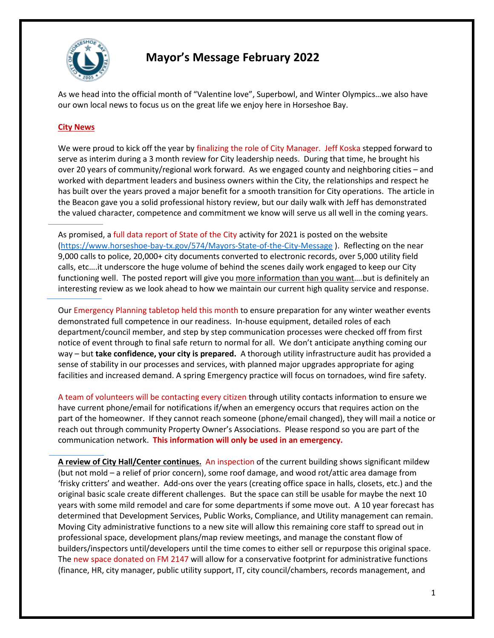

## **Mayor's Message February 2022**

As we head into the official month of "Valentine love", Superbowl, and Winter Olympics…we also have our own local news to focus us on the great life we enjoy here in Horseshoe Bay.

## **City News**

We were proud to kick off the year by finalizing the role of City Manager. Jeff Koska stepped forward to serve as interim during a 3 month review for City leadership needs. During that time, he brought his over 20 years of community/regional work forward. As we engaged county and neighboring cities – and worked with department leaders and business owners within the City, the relationships and respect he has built over the years proved a major benefit for a smooth transition for City operations. The article in the Beacon gave you a solid professional history review, but our daily walk with Jeff has demonstrated the valued character, competence and commitment we know will serve us all well in the coming years.

As promised, a full data report of State of the City activity for 2021 is posted on the website [\(https://www.horseshoe-bay-tx.gov/574/Mayors-State-of-the-City-Message](https://www.horseshoe-bay-tx.gov/574/Mayors-State-of-the-City-Message) ). Reflecting on the near 9,000 calls to police, 20,000+ city documents converted to electronic records, over 5,000 utility field calls, etc….it underscore the huge volume of behind the scenes daily work engaged to keep our City functioning well. The posted report will give you more information than you want....but is definitely an interesting review as we look ahead to how we maintain our current high quality service and response.

Our Emergency Planning tabletop held this month to ensure preparation for any winter weather events demonstrated full competence in our readiness. In-house equipment, detailed roles of each department/council member, and step by step communication processes were checked off from first notice of event through to final safe return to normal for all. We don't anticipate anything coming our way – but **take confidence, your city is prepared.** A thorough utility infrastructure audit has provided a sense of stability in our processes and services, with planned major upgrades appropriate for aging facilities and increased demand. A spring Emergency practice will focus on tornadoes, wind fire safety.

A team of volunteers will be contacting every citizen through utility contacts information to ensure we have current phone/email for notifications if/when an emergency occurs that requires action on the part of the homeowner. If they cannot reach someone (phone/email changed), they will mail a notice or reach out through community Property Owner's Associations. Please respond so you are part of the communication network. **This information will only be used in an emergency.**

**A review of City Hall/Center continues.** An inspection of the current building shows significant mildew (but not mold – a relief of prior concern), some roof damage, and wood rot/attic area damage from 'frisky critters' and weather. Add-ons over the years (creating office space in halls, closets, etc.) and the original basic scale create different challenges. But the space can still be usable for maybe the next 10 years with some mild remodel and care for some departments if some move out. A 10 year forecast has determined that Development Services, Public Works, Compliance, and Utility management can remain. Moving City administrative functions to a new site will allow this remaining core staff to spread out in professional space, development plans/map review meetings, and manage the constant flow of builders/inspectors until/developers until the time comes to either sell or repurpose this original space. The new space donated on FM 2147 will allow for a conservative footprint for administrative functions (finance, HR, city manager, public utility support, IT, city council/chambers, records management, and